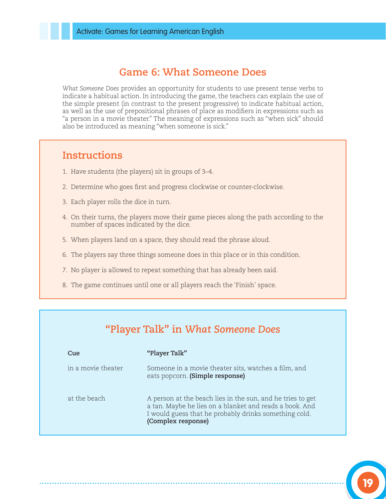#### **Game 6: What Someone Does**

*What Someone Does* provides an opportunity for students to use present tense verbs to indicate a habitual action. In introducing the game, the teachers can explain the use of the simple present (in contrast to the present progressive) to indicate habitual action, as well as the use of prepositional phrases of place as modifiers in expressions such as "a person in a movie theater." The meaning of expressions such as "when sick" should also be introduced as meaning "when someone is sick."

#### **Instructions**

- 1. Have students (the players) sit in groups of 3–4.
- 2. Determine who goes first and progress clockwise or counter-clockwise.
- 3. Each player rolls the dice in turn.
- 4. On their turns, the players move their game pieces along the path according to the number of spaces indicated by the dice.
- 5. When players land on a space, they should read the phrase aloud.
- 6. The players say three things someone does in this place or in this condition.
- 7. No player is allowed to repeat something that has already been said.
- 8. The game continues until one or all players reach the 'Finish' space.

# **"Player Talk" in** *What Someone Does*

| Cue                | "Player Talk"                                                                                                                                                                                        |
|--------------------|------------------------------------------------------------------------------------------------------------------------------------------------------------------------------------------------------|
| in a movie theater | Someone in a movie theater sits, watches a film, and<br>eats popcorn. (Simple response)                                                                                                              |
| at the beach       | A person at the beach lies in the sun, and he tries to get<br>a tan. Maybe he lies on a blanket and reads a book. And<br>I would guess that he probably drinks something cold.<br>(Complex response) |